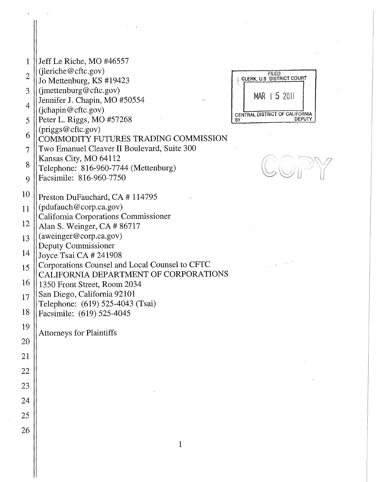| 1              | Jeff Le Riche, MO #46557                                                 |                                                                                                                                     |
|----------------|--------------------------------------------------------------------------|-------------------------------------------------------------------------------------------------------------------------------------|
| $\overline{2}$ | $(i)$ eriche@cftc.gov)                                                   | <b>FILED</b><br>CLERK, U.S. DISTRICT COURT                                                                                          |
| 3              | Jo Mettenburg, KS #19423<br>(jmettenburg@cftc.gov)                       |                                                                                                                                     |
| $\overline{4}$ | Jennifer J. Chapin, MO #50554                                            | MAR   5 2011                                                                                                                        |
| 5              | (jchapin@cftc.gov)<br>Peter L. Riggs, MO #57268                          | CENTRAL DISTRICT OF CALIFORNIA<br>DEPUTY<br>BY                                                                                      |
|                | (priggs@cftc.gov)                                                        |                                                                                                                                     |
| 6              | COMMODITY FUTURES TRADING COMMISSION                                     |                                                                                                                                     |
| 7              | Two Emanuel Cleaver II Boulevard, Suite 300<br>Kansas City, MO 64112     |                                                                                                                                     |
| 8              | Telephone: 816-960-7744 (Mettenburg)                                     |                                                                                                                                     |
| 9              | Facsimile: 816-960-7750                                                  |                                                                                                                                     |
| 10             | Preston DuFauchard, CA # 114795                                          |                                                                                                                                     |
| 11             | (pdufauch@corp.ca.gov)                                                   |                                                                                                                                     |
| 12             | California Corporations Commissioner<br>Alan S. Weinger, CA # 86717      |                                                                                                                                     |
| 13             | (aweinger@corp.ca.gov)                                                   |                                                                                                                                     |
| 14             | Deputy Commissioner                                                      |                                                                                                                                     |
| 15             | Joyce Tsai CA # 241908<br>Corporations Counsel and Local Counsel to CFTC | $\label{eq:2.1} \frac{1}{2\pi\sqrt{2}}\left(\frac{1}{\Delta}\right)^{1/2}\frac{1}{\sqrt{2}}\exp\left(-\frac{2\pi}{\sqrt{2}}\right)$ |
|                | CALIFORNIA DEPARTMENT OF CORPORATIONS                                    |                                                                                                                                     |
| 16             | 1350 Front Street, Room 2034<br>San Diego, California 92101              |                                                                                                                                     |
| 17             | Telephone: (619) 525-4043 (Tsai)                                         |                                                                                                                                     |
| 18             | Facsimile: (619) 525-4045                                                |                                                                                                                                     |
| 19             | <b>Attorneys for Plaintiffs</b>                                          |                                                                                                                                     |
| 20             |                                                                          |                                                                                                                                     |
| 21             |                                                                          |                                                                                                                                     |
| 22             |                                                                          |                                                                                                                                     |
| 23             |                                                                          |                                                                                                                                     |
| 24             |                                                                          |                                                                                                                                     |
| 25             |                                                                          |                                                                                                                                     |
| 26             |                                                                          |                                                                                                                                     |
|                |                                                                          |                                                                                                                                     |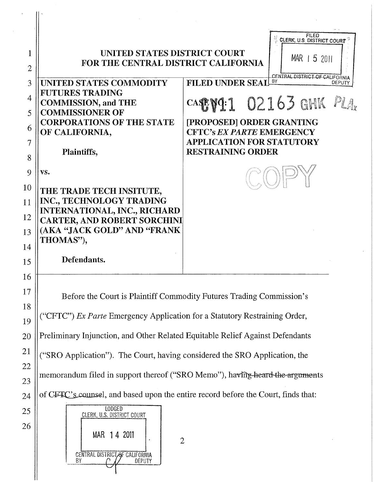|                |                                                                               | <b>FILED</b>                                                              |
|----------------|-------------------------------------------------------------------------------|---------------------------------------------------------------------------|
|                |                                                                               | CLERK, U.S. DISTRICT COURT                                                |
| 1              | UNITED STATES DISTRICT COURT<br>FOR THE CENTRAL DISTRICT CALIFORNIA           | $MAR$   5 2011                                                            |
| $\overline{2}$ |                                                                               |                                                                           |
| 3              | <b>UNITED STATES COMMODITY</b>                                                | CENTRAL DISTRICT OF CALIFORNIA<br>8Y<br><b>FILED UNDER SEAL</b><br>DEPUTY |
| $\overline{4}$ | <b>FUTURES TRADING</b>                                                        |                                                                           |
| 5              | <b>COMMISSION, and THE</b><br><b>COMMISSIONER OF</b>                          | CASE VI: 1 02163 GHK                                                      |
|                | <b>CORPORATIONS OF THE STATE</b>                                              | [PROPOSED] ORDER GRANTING                                                 |
| 6              | OF CALIFORNIA,                                                                | <b>CFTC's EX PARTE EMERGENCY</b>                                          |
| 7              |                                                                               | <b>APPLICATION FOR STATUTORY</b><br><b>RESTRAINING ORDER</b>              |
| 8              | Plaintiffs,                                                                   |                                                                           |
| 9              | VS.                                                                           |                                                                           |
| 10             |                                                                               |                                                                           |
|                | THE TRADE TECH INSITUTE,<br>INC., TECHNOLOGY TRADING                          |                                                                           |
| 11             | <b>INTERNATIONAL, INC., RICHARD</b>                                           |                                                                           |
| 12             | <b>CARTER, AND ROBERT SORCHINI</b>                                            |                                                                           |
| 13             | (AKA "JACK GOLD" AND "FRANK                                                   |                                                                           |
| 14             | THOMAS"),                                                                     |                                                                           |
| 15             | Defendants.                                                                   |                                                                           |
| 16             |                                                                               |                                                                           |
|                |                                                                               |                                                                           |
| 17             |                                                                               | Before the Court is Plaintiff Commodity Futures Trading Commission's      |
| 18             |                                                                               |                                                                           |
| 19             | ("CFTC") Ex Parte Emergency Application for a Statutory Restraining Order,    |                                                                           |
| 20             | Preliminary Injunction, and Other Related Equitable Relief Against Defendants |                                                                           |

<sup>21</sup> ("SRO Application"). The Court, having considered the SRO Application, the

memorandum filed in support thereof ("SRO Memo"), having-heard-the-arguments

 $24$  of CFTC's counsel, and based upon the entire record before the Court, finds that:

2



22

23

25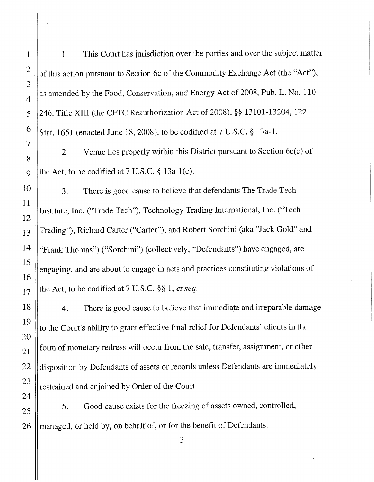1 | 1. This Court has jurisdiction over the parties and over the subject matter <sup>2</sup> of this action pursuant to Section 6c of the Commodity Exchange Act (the "Act"), as amended by the Food, Conservation, and Energy Act of 2008, Pub. L. No. 110- 5 246, Title XIII (the CFTC Reauthorization Act of 2008), §§ 13101-13204, 122  $6 \text{ s}$  Stat. 1651 (enacted June 18, 2008), to be codified at 7 U.S.C. § 13a-1. 2. Venue lies properly within this District pursuant to Section 6c(e) of 9 || the Act, to be codified at 7 U.S.C.  $\S$  13a-1(e).

3. There is good cause to believe that defendants The Trade Tech Institute, Inc. ("Trade Tech"), Technology Trading International, Inc. ("Tech 13 || Trading"), Richard Carter ("Carter"), and Robert Sorchini (aka "Jack Gold" and 14 ||"Frank Thomas") ("Sorchini") (collectively, "Defendants") have engaged, are engaging, and are about to engage in acts and practices constituting violations of  $17$  the Act, to be codified at 7 U.S.C. §§ 1, *et seq.* 

4. There is good cause to believe that immediate and irreparable damage to the Court's ability to grant effective final relief for Defendants' clients in the form of monetary redress will occur from the sale, transfer, assignment, or other 22 disposition by Defendants of assets or records unless Defendants are immediately  $\begin{array}{c|c} 23 \end{array}$  restrained and enjoined by Order of the Court.

 $25 \parallel 5$ . Good cause exists for the freezing of assets owned, controlled, 26 || managed, or held by, on behalf of, or for the benefit of Defendants.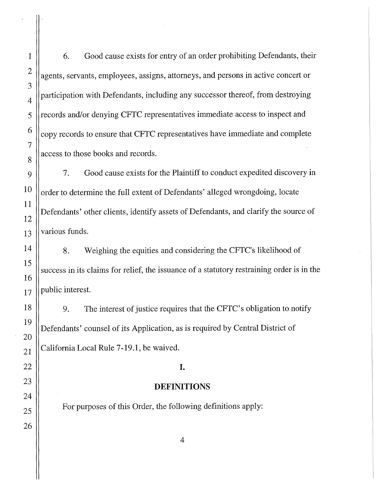1 6. Good cause exists for entry of an order prohibiting Defendants, their  $2 \parallel$  agents, servants, employees, assigns, attorneys, and persons in active concert or  $\frac{4}{4}$  | participation with Defendants, including any successor thereof, from destroying 5 ||records and/or denying CFTC representatives immediate access to inspect and  $6 \parallel$  copy records to ensure that CFTC representatives have immediate and complete access to those books and records.

7. Good cause exists for the Plaintiff to conduct expedited discovery in order to determine the full extent of Defendants' alleged wrongdoing, locate Defendants' other clients, identify assets of Defendants, and clarify the source of  $13$  various funds.

8. Weighing the equities and considering the CFTC's likelihood of success in its claims for relief, the issuance of a statutory restraining order is in the public interest.

9. The interest of justice requires that the CFTC's obligation to notify Defendants' counsel of its Application, as is required by Central District of California Local Rule 7-19.1, be waived.

#### I.

#### DEFINITIONS

For purposes of this Order, the following definitions apply: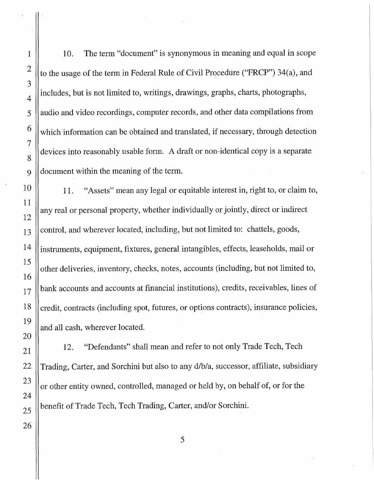1 | 10. The term "document" is synonymous in meaning and equal in scope to the usage of the term in Federal Rule of Civil Procedure ("FRCP") 34(a), and includes, but is not limited to, writings, drawings, graphs, charts, photographs, audio and video recordings, computer records, and other data compilations from which information can be obtained and translated, if necessary, through detection devices into reasonably usable form. A draft or non-identical copy is a separate document within the meaning of the term.

11. "Assets" mean any legal or equitable interest in, right to, or claim to, any real or personal property, whether individually or jointly, direct or indirect control, and wherever located, including, but not limited to: chattels, goods, instruments, equipment, fixtures, general intangibles, effects, leaseholds, mail or other deliveries, inventory, checks, notes, accounts (including, but not limited to, bank accounts and accounts at financial institutions), credits, receivables, lines of credit, contracts (including spot, futures, or options contracts), insurance policies, and all cash, wherever located.

12. "Defendants" shall mean and refer to not only Trade Tech, Tech Trading, Carter, and Sorchini but also to any d/b/a, successor, affiliate, subsidiary or other entity owned, controlled, managed or held by, on behalf of, or for the benefit of Trade Tech, Tech Trading, Carter, and/or Sorchini.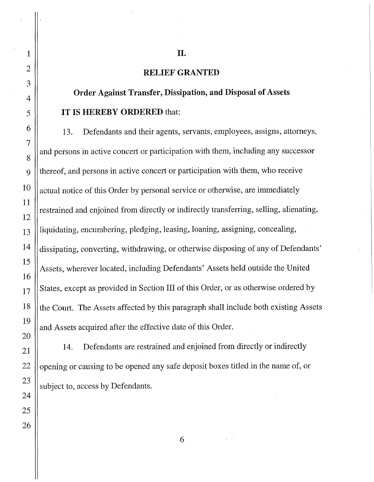# RELIEF GRANTED

II.

# Order Against Transfer, Dissipation, and Disposal of Assets IT IS HEREBY ORDERED that:

13. Defendants and their agents, servants, employees, assigns, attorneys, and persons in active concert or participation with them, including any successor 9 thereof, and persons in active concert or participation with them, who receive actual notice of this Order by personal service or otherwise, are immediately restrained and enjoined from directly or indirectly transferring, selling, alienating,  $_{13}$  ||liquidating, encumbering, pledging, leasing, loaning, assigning, concealing, 14 dissipating, converting, withdrawing, or otherwise disposing of any of Defendants' Assets, wherever located, including Defendants' Assets held outside the United States, except as provided in Section III of this Order, or as otherwise ordered by the Court. The Assets affected by this paragraph shall include both existing Assets and Assets acquired after the effective date of this Order.

 $21$  14. Defendants are restrained and enjoined from directly or indirectly opening or causing to be opened any safe deposit boxes titled in the name of, or subject to, access by Defendants.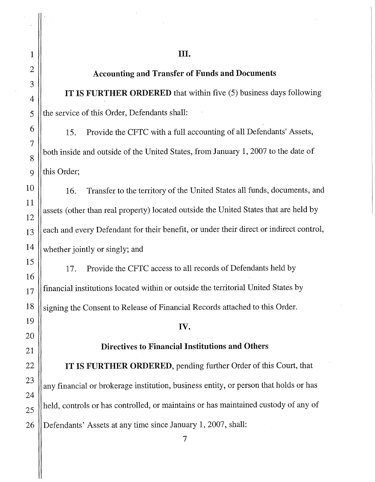# III.

# Accounting and Transfer of Funds and Documents

IT IS FURTHER ORDERED that within five (5) business days following  $5$  || the service of this Order, Defendants shall:

15. Provide the CFTC with a full accounting of all Defendants' Assets, both inside and outside of the United States, from January 1, 2007 to the date of 9 || this Order;

16. Transfer to the territory of the United States all funds, documents, and assets (other than real property) located outside the United States that are held by  $_{13}$  | each and every Defendant for their benefit, or under their direct or indirect control,  $14$  whether jointly or singly; and

17. Provide the CFTC access to all records of Defendants held by  $\frac{17}{17}$  financial institutions located within or outside the territorial United States by 18 Signing the Consent to Release of Financial Records attached to this Order.

#### IV.

#### Directives to Financial Institutions and Others

IT IS FURTHER ORDERED, pending further Order of this Court, that any financial or brokerage institution, business entity, or person that holds or has held, controls or has controlled, or maintains or has maintained custody of any of 26 Defendants' Assets at any time since January 1, 2007, shall: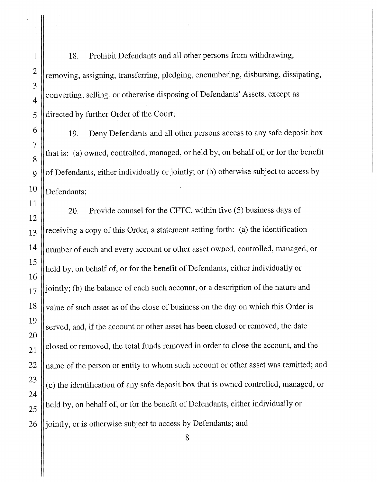1 | 18. Prohibit Defendants and all other persons from withdrawing,  $\parallel$  removing, assigning, transferring, pledging, encumbering, disbursing, dissipating,  $\mathcal{A}$  | converting, selling, or otherwise disposing of Defendants' Assets, except as | directed by further Order of the Court;

19. Deny Defendants and all other persons access to any safe deposit box that is: (a) owned, controlled, managed, or held by, on behalf of, or for the benefit 9  $\|\$  of Defendants, either individually or jointly; or (b) otherwise subject to access by | Defendants;

20. Provide counsel for the CFTC, within five (5) business days of  $_{13}$  ||receiving a copy of this Order, a statement setting forth: (a) the identification || number of each and every account or other asset owned, controlled, managed, or held by, on behalf of, or for the benefit of Defendants, either individually or ||jointly; (b) the balance of each such account, or a description of the nature and value of such asset as of the close of business on the day on which this Order is served, and, if the account or other asset has been closed or removed, the date closed or removed, the total funds removed in order to close the account, and the  $\parallel$  name of the person or entity to whom such account or other asset was remitted; and (c) the identification of any safe deposit box that is owned controlled, managed, or held by, on behalf of, or for the benefit of Defendants, either individually or 26 || jointly, or is otherwise subject to access by Defendants; and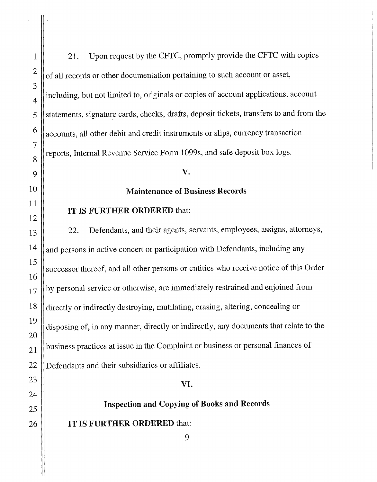1 | 21. Upon request by the CFTC, promptly provide the CFTC with copies of all records or other documentation pertaining to such account or asset, including, but not limited to, originals or copies of account applications, account statements, signature cards, checks, drafts, deposit tickets, transfers to and from the  $6 \parallel$  accounts, all other debit and credit instruments or slips, currency transaction  $\left\Vert \rho \right\Vert$  reports, Internal Revenue Service Form 1099s, and safe deposit box logs.

#### Maintenance of Business Records

#### IT IS FURTHER ORDERED that:

22. Defendants, and their agents, servants, employees, assigns, attorneys, and persons in active concert or participation with Defendants, including any successor thereof, and all other persons or entities who receive notice of this Order by personal service or otherwise, are immediately restrained and enjoined from directly or indirectly destroying, mutilating, erasing, altering, concealing or disposing of, in any manner, directly or indirectly, any documents that relate to the business practices at issue in the Complaint or business or personal finances of 22 Defendants and their subsidiaries or affiliates.

### VI.

# Inspection and Copying of Books and Records

IT IS FURTHER ORDERED that: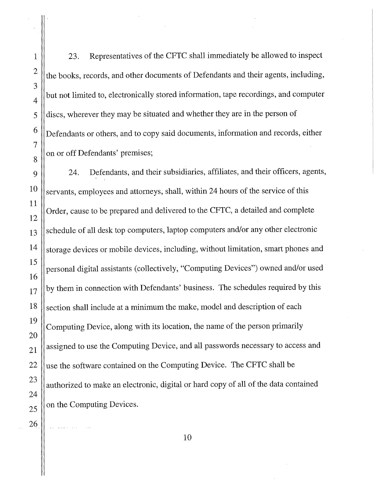1 23. Representatives of the CFTC shall immediately be allowed to inspect <sup>2</sup> the books, records, and other documents of Defendants and their agents, including, but not limited to, electronically stored information, tape recordings, and computer 5 discs, wherever they may be situated and whether they are in the person of  $\begin{array}{c} 6 \end{array}$  Defendants or others, and to copy said documents, information and records, either on or off Defendants' premises;

 $9 \parallel$  24. Defendants, and their subsidiaries, affiliates, and their officers, agents,  $10 \parallel$  servants, employees and attorneys, shall, within 24 hours of the service of this Order, cause to be prepared and delivered to the CFTC, a detailed and complete schedule of all desk top computers, laptop computers and/or any other electronic storage devices or mobile devices, including, without limitation, smart phones and personal digital assistants (collectively, "Computing Devices") owned and/or used  $17$  || by them in connection with Defendants' business. The schedules required by this  $18$   $\parallel$  section shall include at a minimum the make, model and description of each Computing Device, along with its location, the name of the person primarily  $21$  assigned to use the Computing Device, and all passwords necessary to access and 22  $\parallel$  use the software contained on the Computing Device. The CFTC shall be authorized to make an electronic, digital or hard copy of all of the data contained on the Computing Devices.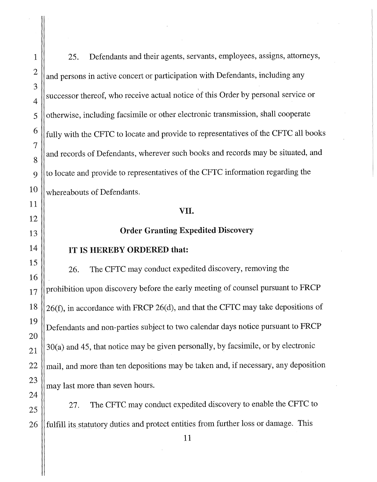1 25. Defendants and their agents, servants, employees, assigns, attorneys,  $2 \parallel$  and persons in active concert or participation with Defendants, including any successor thereof, who receive actual notice of this Order by personal service or 5 || otherwise, including facsimile or other electronic transmission, shall cooperate  $6 \parallel$  fully with the CFTC to locate and provide to representatives of the CFTC all books and records of Defendants, wherever such books and records may be situated, and  $9$  ||to locate and provide to representatives of the CFTC information regarding the  $10$  whereabouts of Defendants.

#### VII.

# 13 || **Order Granting Expedited Discovery**

# $14$  || IT IS HEREBY ORDERED that:

26. The CFTC may conduct expedited discovery, removing the  $17$  ||prohibition upon discovery before the early meeting of counsel pursuant to FRCP 18  $||26(f)$ , in accordance with FRCP 26(d), and that the CFTC may take depositions of Defendants and non-parties subject to two calendar days notice pursuant to FRCP 30(a) and 45, that notice may be given personally, by facsimile, or by electronic  $22$  || mail, and more than ten depositions may be taken and, if necessary, any deposition may last more than seven hours.

27. The CFTC may conduct expedited discovery to enable the CFTC to 26 fulfill its statutory duties and protect entities from further loss or damage. This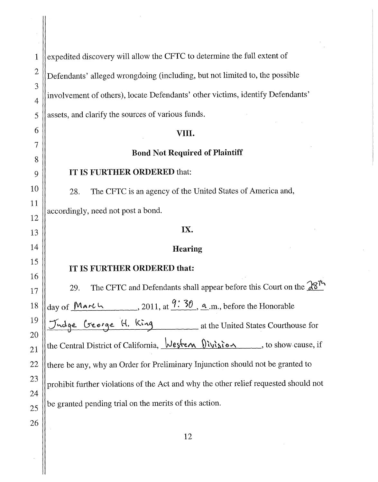1  $\parallel$  expedited discovery will allow the CFTC to determine the full extent of  $2 \parallel$  Defendants' alleged wrongdoing (including, but not limited to, the possible involvement of others), locate Defendants' other victims, identify Defendants' assets, and clarify the sources of various funds. VIII.

# **Bond** Not **Required of Plaintiff**

### IT IS FURTHER ORDERED that:

3

4

5

6

7

8

9

10

11

12

13

14

15

16

17

19

20

21

24

26

28. The CFTC is an agency of the United States of America and, accordingly, need not post a bond.

# IX.

# **Hearing**

# IT IS FURTHER ORDERED **that:**

29. The CFTC and Defendants shall appear before this Court on the  $28<sup>7</sup>$ 18  $\parallel$  day of Marth ........................ 2011, at  $\frac{9:30}{0}$ , <u>a</u>.m., before the Honorable Tudge George H. King at the United States Courthouse for the Central District of California,  $\sqrt{\frac{1}{5}}$ ,  $\sqrt{\frac{1}{5}}$ , to show cause, if 22  $\parallel$  there be any, why an Order for Preliminary Injunction should not be granted to 23 prohibit further violations of the Act and why the other relief requested should not  $25$  | be granted pending trial on the merits of this action.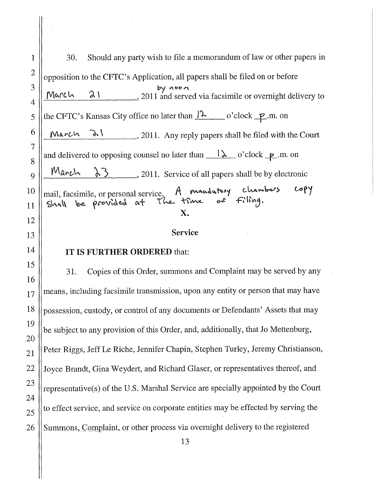1 | 30. Should any party wish to file a memorandum of law or other papers in 2 opposition to the CFTC's Application, all papers shall be filed on or before 3 by noon March  $\lambda$   $\lambda$  ,  $\lambda$  ,  $\lambda$  2011 and served via facsimile or overnight delivery to 4 5 the CFTC's Kansas City office no later than  $\lambda$  o'clock  $\mathbf{P}$ .m. on 6  $\mathcal{M}_{\mathbf{a}}$   $\mathcal{L}_{\mathbf{A}}$   $\mathcal{L}_{\mathbf{A}}$   $\mathcal{L}_{\mathbf{A}}$  , 2011. Any reply papers shall be filed with the Court 7 and delivered to opposing counsel no later than  $\lambda$  o'clock  $\mathbf{p}$ .m. on 8  $9\parallel$  March  $3\sim$ , 2011. Service of all papers shall be by electronic  $CopY$ A mandatory chambers 10 mail, facsimile, or personal service. Shall be provided at the time  $Filnq.$  $\sim$ 11 X. 12 13 || Service  $14$  || IT IS FURTHER ORDERED that: 15 31. Copies of this Order, summons and Complaint may be served by any 16  $17$  means, including facsimile transmission, upon any entity or person that may have 18 | possession, custody, or control of any documents or Defendants' Assets that may 19 be subject to any provision of this Order, and, additionally, that Jo Mettenburg, 20  $21$  Peter Riggs, Jeff Le Riche, Jennifer Chapin, Stephen Turley, Jeremy Christianson, 22 | Joyce Brandt, Gina Weydert, and Richard Glaser, or representatives thereof, and 23  $\parallel$  representative(s) of the U.S. Marshal Service are specially appointed by the Court 24  $25$  to effect service, and service on corporate entities may be effected by serving the 26 Summons, Complaint, or other process via overnight delivery to the registered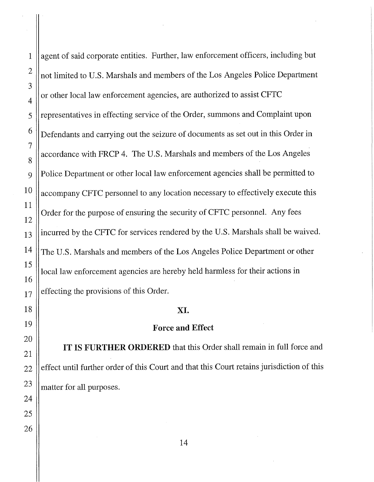1 agent of said corporate entities. Further, law enforcement officers, including but  $2 \parallel$  not limited to U.S. Marshals and members of the Los Angeles Police Department or other local law enforcement agencies, are authorized to assist CFTC 5 || representatives in effecting service of the Order, summons and Complaint upon  $\frac{6}{10}$  Defendants and carrying out the seizure of documents as set out in this Order in accordance with FRCP 4. The U.S. Marshals and members of the Los Angeles 9 || Police Department or other local law enforcement agencies shall be permitted to  $10$  accompany CFTC personnel to any location necessary to effectively execute this Order for the purpose of ensuring the security of CFTC personnel. Any fees  $13$  ||incurred by the CFTC for services rendered by the U.S. Marshals shall be waived. <sup>14</sup> The U.S. Marshals and members of the Los Angeles Police Department or other local law enforcement agencies are hereby held harmless for their actions in  $_{17}$  effecting the provisions of this Order.

# XI.

# Force **and** Effect

IT IS FURTHER ORDERED that this Order shall remain in full force and  $22$  effect until further order of this Court and that this Court retains jurisdiction of this  $23$  || matter for all purposes.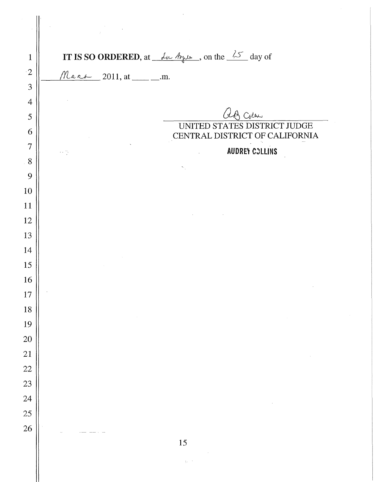|                | $\label{eq:2.1} \frac{1}{\sqrt{2}}\left(\frac{1}{\sqrt{2}}\right)^{2} \left(\frac{1}{\sqrt{2}}\right)^{2} \left(\frac{1}{\sqrt{2}}\right)^{2} \left(\frac{1}{\sqrt{2}}\right)^{2} \left(\frac{1}{\sqrt{2}}\right)^{2} \left(\frac{1}{\sqrt{2}}\right)^{2} \left(\frac{1}{\sqrt{2}}\right)^{2} \left(\frac{1}{\sqrt{2}}\right)^{2} \left(\frac{1}{\sqrt{2}}\right)^{2} \left(\frac{1}{\sqrt{2}}\right)^{2} \left(\frac{1}{\sqrt{2}}\right)^{2} \left(\$ |
|----------------|--------------------------------------------------------------------------------------------------------------------------------------------------------------------------------------------------------------------------------------------------------------------------------------------------------------------------------------------------------------------------------------------------------------------------------------------------------|
| $\mathbf{1}$   | <b>IT IS SO ORDERED</b> , at $\frac{\lambda_0}{\lambda_1}$ $\frac{\lambda_1}{\lambda_2}$ , on the $\frac{\lambda_2}{\lambda_1}$ day of                                                                                                                                                                                                                                                                                                                 |
| $\cdot 2$      | $M$ ars 2011, at _________.m.                                                                                                                                                                                                                                                                                                                                                                                                                          |
| 3              |                                                                                                                                                                                                                                                                                                                                                                                                                                                        |
| $\overline{4}$ |                                                                                                                                                                                                                                                                                                                                                                                                                                                        |
| 5              | aB Colan                                                                                                                                                                                                                                                                                                                                                                                                                                               |
| 6              | UNITED STATES DISTRICT JUDGE<br>CENTRAL DISTRICT OF CALIFORNIA                                                                                                                                                                                                                                                                                                                                                                                         |
| $\overline{7}$ | <b>AUDREY COLLINS</b><br>一次                                                                                                                                                                                                                                                                                                                                                                                                                            |
| 8              |                                                                                                                                                                                                                                                                                                                                                                                                                                                        |
| 9              |                                                                                                                                                                                                                                                                                                                                                                                                                                                        |
| 10             |                                                                                                                                                                                                                                                                                                                                                                                                                                                        |
| 11             |                                                                                                                                                                                                                                                                                                                                                                                                                                                        |
| 12             |                                                                                                                                                                                                                                                                                                                                                                                                                                                        |
| 13             |                                                                                                                                                                                                                                                                                                                                                                                                                                                        |
| 14             |                                                                                                                                                                                                                                                                                                                                                                                                                                                        |
| 15             |                                                                                                                                                                                                                                                                                                                                                                                                                                                        |
| 16             |                                                                                                                                                                                                                                                                                                                                                                                                                                                        |
| 17             |                                                                                                                                                                                                                                                                                                                                                                                                                                                        |
| 18             |                                                                                                                                                                                                                                                                                                                                                                                                                                                        |
| 19             |                                                                                                                                                                                                                                                                                                                                                                                                                                                        |
| 20             |                                                                                                                                                                                                                                                                                                                                                                                                                                                        |
| 21             |                                                                                                                                                                                                                                                                                                                                                                                                                                                        |
| 22             |                                                                                                                                                                                                                                                                                                                                                                                                                                                        |
| 23             |                                                                                                                                                                                                                                                                                                                                                                                                                                                        |
| 24             |                                                                                                                                                                                                                                                                                                                                                                                                                                                        |
| 25             |                                                                                                                                                                                                                                                                                                                                                                                                                                                        |
| 26             |                                                                                                                                                                                                                                                                                                                                                                                                                                                        |
|                | 15                                                                                                                                                                                                                                                                                                                                                                                                                                                     |

 $\tilde{\psi}^{(1)}$